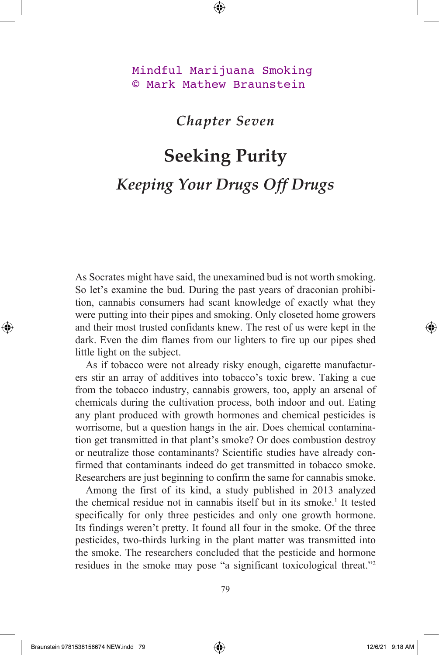## Mindful Marijuana Smoking © Mark Mathew Braunstein

## *Chapter Seven*

## **Seeking Purity** *Keeping Your Drugs Off Drugs*

As Socrates might have said, the unexamined bud is not worth smoking. So let's examine the bud. During the past years of draconian prohibition, cannabis consumers had scant knowledge of exactly what they were putting into their pipes and smoking. Only closeted home growers and their most trusted confidants knew. The rest of us were kept in the dark. Even the dim flames from our lighters to fire up our pipes shed little light on the subject.

As if tobacco were not already risky enough, cigarette manufacturers stir an array of additives into tobacco's toxic brew. Taking a cue from the tobacco industry, cannabis growers, too, apply an arsenal of chemicals during the cultivation process, both indoor and out. Eating any plant produced with growth hormones and chemical pesticides is worrisome, but a question hangs in the air. Does chemical contamination get transmitted in that plant's smoke? Or does combustion destroy or neutralize those contaminants? Scientific studies have already confirmed that contaminants indeed do get transmitted in tobacco smoke. Researchers are just beginning to confirm the same for cannabis smoke.

Among the first of its kind, a study published in 2013 analyzed the chemical residue not in cannabis itself but in its smoke.<sup>1</sup> It tested specifically for only three pesticides and only one growth hormone. Its findings weren't pretty. It found all four in the smoke. Of the three pesticides, two-thirds lurking in the plant matter was transmitted into the smoke. The researchers concluded that the pesticide and hormone residues in the smoke may pose "a significant toxicological threat."2